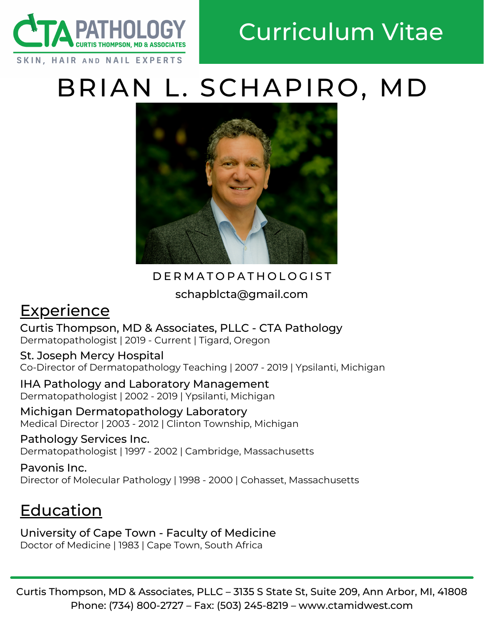

# BRIAN L. SCHAPIRO, MD



#### D E R M A T O P A T H O L O G I S T

schapblcta@gmail.com

## **Experience**

Curtis Thompson, MD & Associates, PLLC - CTA Pathology Dermatopathologist | 2019 - Current | Tigard, Oregon

St. Joseph Mercy Hospital Co-Director of Dermatopathology Teaching | 2007 - 2019 | Ypsilanti, Michigan

IHA Pathology and Laboratory Management Dermatopathologist | 2002 - 2019 | Ypsilanti, Michigan

Michigan Dermatopathology Laboratory Medical Director | 2003 - 2012 | Clinton Township, Michigan

Pathology Services Inc. Dermatopathologist | 1997 - 2002 | Cambridge, Massachusetts

Pavonis Inc. Director of Molecular Pathology | 1998 - 2000 | Cohasset, Massachusetts

# Education

University of Cape Town - Faculty of Medicine Doctor of Medicine | 1983 | Cape Town, South Africa

Curtis Thompson, MD & Associates, PLLC – 3135 S State St, Suite 209, Ann Arbor, MI, 41808 Phone: (734) 800-2727 – Fax: (503) 245-8219 – www.ctamidwest.com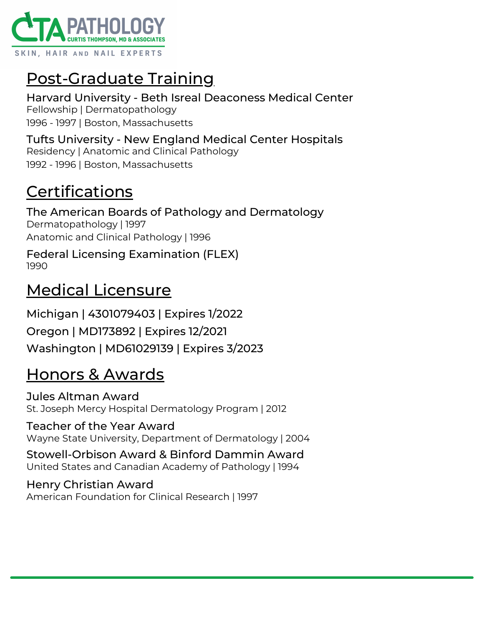

# Post-Graduate Training

Harvard University - Beth Isreal Deaconess Medical Center Fellowship | Dermatopathology 1996 - 1997 | Boston, Massachusetts

Tufts University - New England Medical Center Hospitals Residency | Anatomic and Clinical Pathology 1992 - 1996 | Boston, Massachusetts

## **Certifications**

The American Boards of Pathology and Dermatology Dermatopathology | 1997 Anatomic and Clinical Pathology | 1996

Federal Licensing Examination (FLEX) 1990

#### Medical Licensure

Michigan | 4301079403 | Expires 1/2022 Oregon | MD173892 | Expires 12/2021 Washington | MD61029139 | Expires 3/2023

### Honors & Awards

Jules Altman Award St. Joseph Mercy Hospital Dermatology Program | 2012

#### Teacher of the Year Award Wayne State University, Department of Dermatology | 2004

Stowell-Orbison Award & Binford Dammin Award United States and Canadian Academy of Pathology | 1994

Henry Christian Award American Foundation for Clinical Research | 1997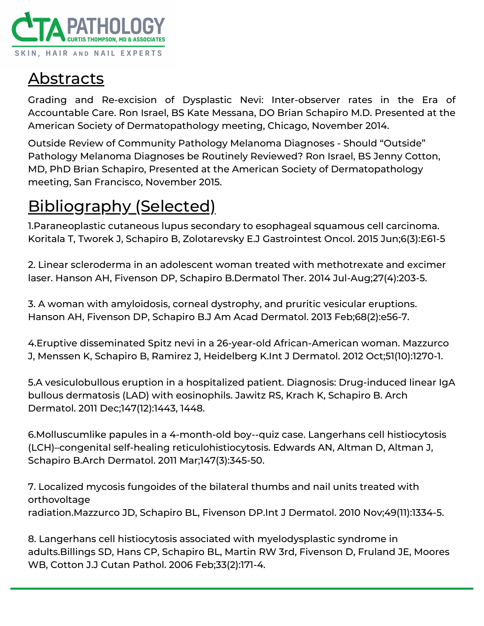

### Abstracts

Grading and Re-excision of Dysplastic Nevi: Inter-observer rates in the Era of Accountable Care. Ron Israel, BS Kate Messana, DO Brian Schapiro M.D. Presented at the American Society of Dermatopathology meeting, Chicago, November 2014.

Outside Review of Community Pathology Melanoma Diagnoses - Should "Outside" Pathology Melanoma Diagnoses be Routinely Reviewed? Ron Israel, BS Jenny Cotton, MD, PhD Brian Schapiro, Presented at the American Society of Dermatopathology meeting, San Francisco, November 2015.

# Bibliography (Selected)

1.Paraneoplastic cutaneous lupus secondary to esophageal squamous cell carcinoma. Koritala T, Tworek J, Schapiro B, Zolotarevsky E.J Gastrointest Oncol. 2015 Jun;6(3):E61-5

2. Linear scleroderma in an adolescent woman treated with methotrexate and excimer laser. Hanson AH, Fivenson DP, Schapiro B.Dermatol Ther. 2014 Jul-Aug;27(4):203-5.

3. A woman with amyloidosis, corneal dystrophy, and pruritic vesicular eruptions. Hanson AH, Fivenson DP, Schapiro B.J Am Acad Dermatol. 2013 Feb;68(2):e56-7.

4.Eruptive disseminated Spitz nevi in a 26-year-old African-American woman. Mazzurco J, Menssen K, Schapiro B, Ramirez J, Heidelberg K.Int J Dermatol. 2012 Oct;51(10):1270-1.

5.A vesiculobullous eruption in a hospitalized patient. Diagnosis: Drug-induced linear IgA bullous dermatosis (LAD) with eosinophils. Jawitz RS, Krach K, Schapiro B. Arch Dermatol. 2011 Dec;147(12):1443, 1448.

6.Molluscumlike papules in a 4-month-old boy--quiz case. Langerhans cell histiocytosis (LCH)–congenital self-healing reticulohistiocytosis. Edwards AN, Altman D, Altman J, Schapiro B.Arch Dermatol. 2011 Mar;147(3):345-50.

7. Localized mycosis fungoides of the bilateral thumbs and nail units treated with orthovoltage radiation.Mazzurco JD, Schapiro BL, Fivenson DP.Int J Dermatol. 2010 Nov;49(11):1334-5.

8. Langerhans cell histiocytosis associated with myelodysplastic syndrome in adults.Billings SD, Hans CP, Schapiro BL, Martin RW 3rd, Fivenson D, Fruland JE, Moores WB, Cotton J.J Cutan Pathol. 2006 Feb;33(2):171-4.